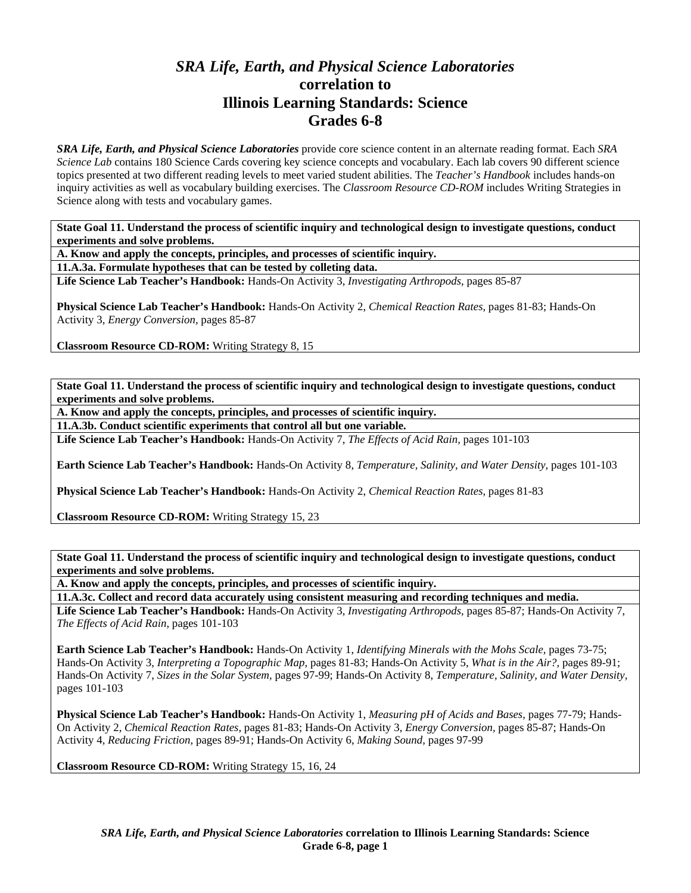## *SRA Life, Earth, and Physical Science Laboratories*  **correlation to Illinois Learning Standards: Science Grades 6-8**

*SRA Life, Earth, and Physical Science Laboratories* provide core science content in an alternate reading format. Each *SRA Science Lab* contains 180 Science Cards covering key science concepts and vocabulary. Each lab covers 90 different science topics presented at two different reading levels to meet varied student abilities. The *Teacher's Handbook* includes hands-on inquiry activities as well as vocabulary building exercises. The *Classroom Resource CD-ROM* includes Writing Strategies in Science along with tests and vocabulary games.

**State Goal 11. Understand the process of scientific inquiry and technological design to investigate questions, conduct experiments and solve problems.** 

**A. Know and apply the concepts, principles, and processes of scientific inquiry.** 

**11.A.3a. Formulate hypotheses that can be tested by colleting data.** 

**Life Science Lab Teacher's Handbook:** Hands-On Activity 3, *Investigating Arthropods,* pages 85-87

**Physical Science Lab Teacher's Handbook:** Hands-On Activity 2, *Chemical Reaction Rates,* pages 81-83; Hands-On Activity 3, *Energy Conversion,* pages 85-87

**Classroom Resource CD-ROM:** Writing Strategy 8, 15

**State Goal 11. Understand the process of scientific inquiry and technological design to investigate questions, conduct experiments and solve problems.** 

**A. Know and apply the concepts, principles, and processes of scientific inquiry.** 

**11.A.3b. Conduct scientific experiments that control all but one variable.** 

**Life Science Lab Teacher's Handbook:** Hands-On Activity 7, *The Effects of Acid Rain,* pages 101-103

**Earth Science Lab Teacher's Handbook:** Hands-On Activity 8, *Temperature, Salinity, and Water Density,* pages 101-103

**Physical Science Lab Teacher's Handbook:** Hands-On Activity 2, *Chemical Reaction Rates,* pages 81-83

**Classroom Resource CD-ROM:** Writing Strategy 15, 23

**State Goal 11. Understand the process of scientific inquiry and technological design to investigate questions, conduct experiments and solve problems.** 

**A. Know and apply the concepts, principles, and processes of scientific inquiry.** 

**11.A.3c. Collect and record data accurately using consistent measuring and recording techniques and media.** 

**Life Science Lab Teacher's Handbook:** Hands-On Activity 3, *Investigating Arthropods,* pages 85-87; Hands-On Activity 7, *The Effects of Acid Rain,* pages 101-103

**Earth Science Lab Teacher's Handbook:** Hands-On Activity 1, *Identifying Minerals with the Mohs Scale,* pages 73-75; Hands-On Activity 3, *Interpreting a Topographic Map,* pages 81-83; Hands-On Activity 5, *What is in the Air?,* pages 89-91; Hands-On Activity 7, *Sizes in the Solar System,* pages 97-99; Hands-On Activity 8, *Temperature, Salinity, and Water Density,* pages 101-103

**Physical Science Lab Teacher's Handbook:** Hands-On Activity 1, *Measuring pH of Acids and Bases,* pages 77-79; Hands-On Activity 2, *Chemical Reaction Rates,* pages 81-83; Hands-On Activity 3, *Energy Conversion,* pages 85-87; Hands-On Activity 4, *Reducing Friction,* pages 89-91; Hands-On Activity 6, *Making Sound,* pages 97-99

**Classroom Resource CD-ROM:** Writing Strategy 15, 16, 24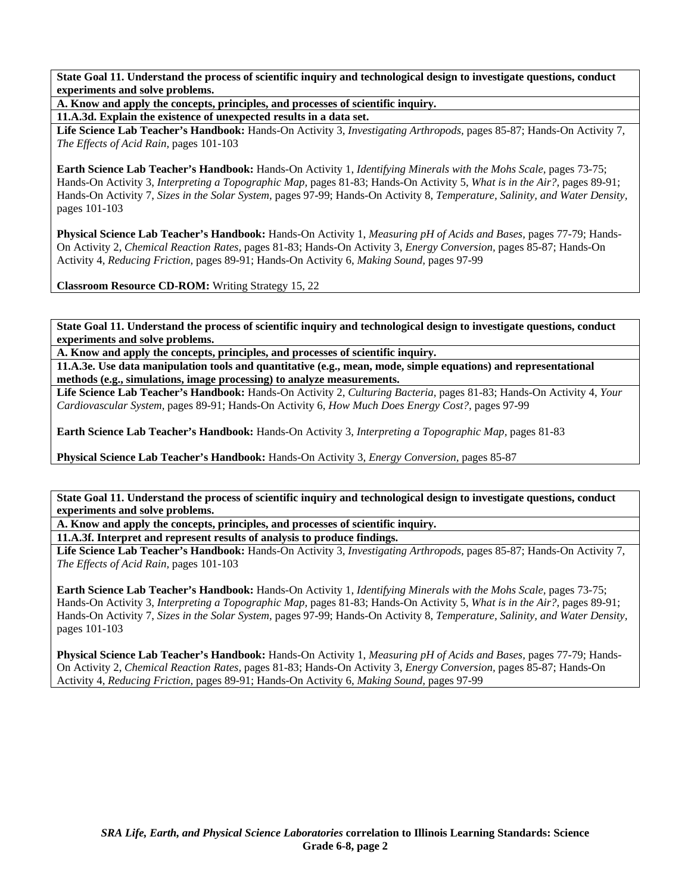**State Goal 11. Understand the process of scientific inquiry and technological design to investigate questions, conduct experiments and solve problems.** 

**A. Know and apply the concepts, principles, and processes of scientific inquiry.** 

**11.A.3d. Explain the existence of unexpected results in a data set.** 

**Life Science Lab Teacher's Handbook:** Hands-On Activity 3, *Investigating Arthropods,* pages 85-87; Hands-On Activity 7, *The Effects of Acid Rain,* pages 101-103

**Earth Science Lab Teacher's Handbook:** Hands-On Activity 1, *Identifying Minerals with the Mohs Scale,* pages 73-75; Hands-On Activity 3, *Interpreting a Topographic Map,* pages 81-83; Hands-On Activity 5, *What is in the Air?,* pages 89-91; Hands-On Activity 7, *Sizes in the Solar System,* pages 97-99; Hands-On Activity 8, *Temperature, Salinity, and Water Density,* pages 101-103

**Physical Science Lab Teacher's Handbook:** Hands-On Activity 1, *Measuring pH of Acids and Bases,* pages 77-79; Hands-On Activity 2, *Chemical Reaction Rates,* pages 81-83; Hands-On Activity 3, *Energy Conversion,* pages 85-87; Hands-On Activity 4, *Reducing Friction,* pages 89-91; Hands-On Activity 6, *Making Sound,* pages 97-99

**Classroom Resource CD-ROM:** Writing Strategy 15, 22

**State Goal 11. Understand the process of scientific inquiry and technological design to investigate questions, conduct experiments and solve problems.** 

**A. Know and apply the concepts, principles, and processes of scientific inquiry.** 

**11.A.3e. Use data manipulation tools and quantitative (e.g., mean, mode, simple equations) and representational methods (e.g., simulations, image processing) to analyze measurements.** 

**Life Science Lab Teacher's Handbook:** Hands-On Activity 2, *Culturing Bacteria,* pages 81-83; Hands-On Activity 4, *Your Cardiovascular System,* pages 89-91; Hands-On Activity 6, *How Much Does Energy Cost?,* pages 97-99

**Earth Science Lab Teacher's Handbook:** Hands-On Activity 3, *Interpreting a Topographic Map,* pages 81-83

**Physical Science Lab Teacher's Handbook:** Hands-On Activity 3, *Energy Conversion,* pages 85-87

**State Goal 11. Understand the process of scientific inquiry and technological design to investigate questions, conduct experiments and solve problems.** 

**A. Know and apply the concepts, principles, and processes of scientific inquiry.** 

**11.A.3f. Interpret and represent results of analysis to produce findings.** 

**Life Science Lab Teacher's Handbook:** Hands-On Activity 3, *Investigating Arthropods,* pages 85-87; Hands-On Activity 7, *The Effects of Acid Rain,* pages 101-103

**Earth Science Lab Teacher's Handbook:** Hands-On Activity 1, *Identifying Minerals with the Mohs Scale,* pages 73-75; Hands-On Activity 3, *Interpreting a Topographic Map,* pages 81-83; Hands-On Activity 5, *What is in the Air?,* pages 89-91; Hands-On Activity 7, *Sizes in the Solar System,* pages 97-99; Hands-On Activity 8, *Temperature, Salinity, and Water Density,* pages 101-103

**Physical Science Lab Teacher's Handbook:** Hands-On Activity 1, *Measuring pH of Acids and Bases,* pages 77-79; Hands-On Activity 2, *Chemical Reaction Rates,* pages 81-83; Hands-On Activity 3, *Energy Conversion,* pages 85-87; Hands-On Activity 4, *Reducing Friction,* pages 89-91; Hands-On Activity 6, *Making Sound,* pages 97-99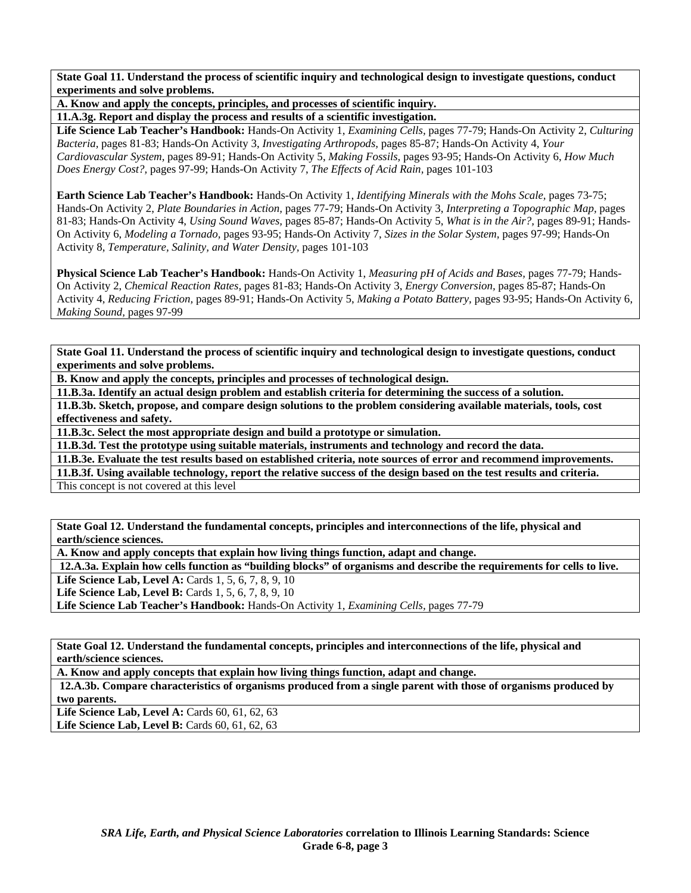**State Goal 11. Understand the process of scientific inquiry and technological design to investigate questions, conduct experiments and solve problems.** 

**A. Know and apply the concepts, principles, and processes of scientific inquiry.** 

**11.A.3g. Report and display the process and results of a scientific investigation.** 

**Life Science Lab Teacher's Handbook:** Hands-On Activity 1, *Examining Cells,* pages 77-79; Hands-On Activity 2, *Culturing Bacteria,* pages 81-83; Hands-On Activity 3, *Investigating Arthropods,* pages 85-87; Hands-On Activity 4, *Your Cardiovascular System,* pages 89-91; Hands-On Activity 5, *Making Fossils,* pages 93-95; Hands-On Activity 6, *How Much Does Energy Cost?,* pages 97-99; Hands-On Activity 7, *The Effects of Acid Rain,* pages 101-103

**Earth Science Lab Teacher's Handbook:** Hands-On Activity 1, *Identifying Minerals with the Mohs Scale,* pages 73-75; Hands-On Activity 2, *Plate Boundaries in Action,* pages 77-79; Hands-On Activity 3, *Interpreting a Topographic Map,* pages 81-83; Hands-On Activity 4, *Using Sound Waves,* pages 85-87; Hands-On Activity 5, *What is in the Air?,* pages 89-91; Hands-On Activity 6, *Modeling a Tornado,* pages 93-95; Hands-On Activity 7, *Sizes in the Solar System,* pages 97-99; Hands-On Activity 8, *Temperature, Salinity, and Water Density,* pages 101-103

**Physical Science Lab Teacher's Handbook:** Hands-On Activity 1, *Measuring pH of Acids and Bases,* pages 77-79; Hands-On Activity 2, *Chemical Reaction Rates,* pages 81-83; Hands-On Activity 3, *Energy Conversion,* pages 85-87; Hands-On Activity 4, *Reducing Friction,* pages 89-91; Hands-On Activity 5, *Making a Potato Battery,* pages 93-95; Hands-On Activity 6, *Making Sound,* pages 97-99

**State Goal 11. Understand the process of scientific inquiry and technological design to investigate questions, conduct experiments and solve problems.** 

**B. Know and apply the concepts, principles and processes of technological design.** 

**11.B.3a. Identify an actual design problem and establish criteria for determining the success of a solution.** 

**11.B.3b. Sketch, propose, and compare design solutions to the problem considering available materials, tools, cost effectiveness and safety.**

**11.B.3c. Select the most appropriate design and build a prototype or simulation.** 

**11.B.3d. Test the prototype using suitable materials, instruments and technology and record the data.** 

**11.B.3e. Evaluate the test results based on established criteria, note sources of error and recommend improvements.** 

**11.B.3f. Using available technology, report the relative success of the design based on the test results and criteria.** 

This concept is not covered at this level

**State Goal 12. Understand the fundamental concepts, principles and interconnections of the life, physical and earth/science sciences.** 

**A. Know and apply concepts that explain how living things function, adapt and change.** 

 **12.A.3a. Explain how cells function as "building blocks" of organisms and describe the requirements for cells to live.** 

**Life Science Lab, Level A: Cards 1, 5, 6, 7, 8, 9, 10** 

**Life Science Lab, Level B:** Cards 1, 5, 6, 7, 8, 9, 10

**Life Science Lab Teacher's Handbook:** Hands-On Activity 1, *Examining Cells,* pages 77-79

**State Goal 12. Understand the fundamental concepts, principles and interconnections of the life, physical and earth/science sciences.** 

**A. Know and apply concepts that explain how living things function, adapt and change.** 

 **12.A.3b. Compare characteristics of organisms produced from a single parent with those of organisms produced by two parents.** 

Life Science Lab, Level A: Cards 60, 61, 62, 63

Life Science Lab, Level B: Cards 60, 61, 62, 63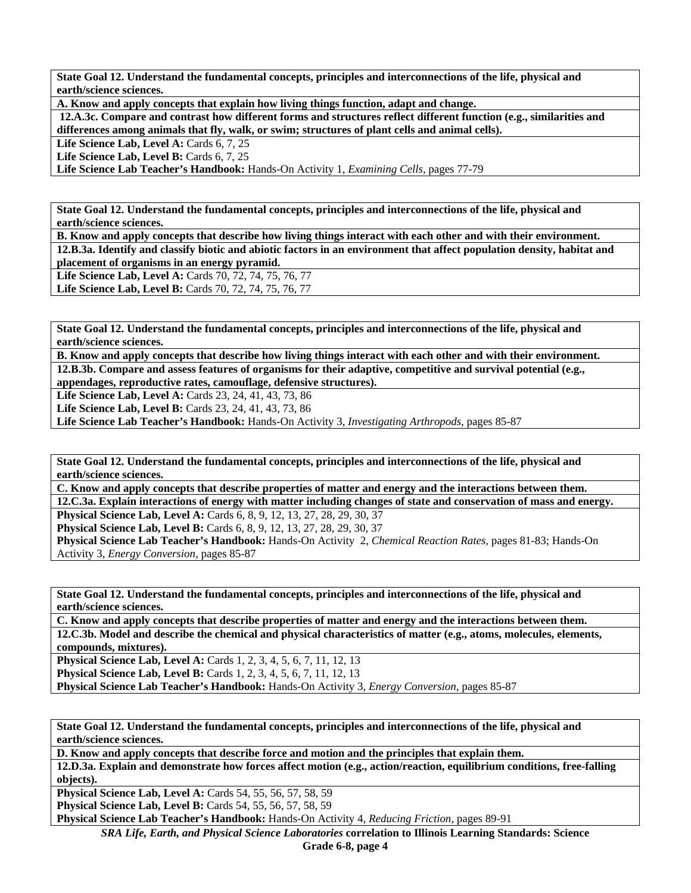**State Goal 12. Understand the fundamental concepts, principles and interconnections of the life, physical and earth/science sciences.** 

**A. Know and apply concepts that explain how living things function, adapt and change.** 

 **12.A.3c. Compare and contrast how different forms and structures reflect different function (e.g., similarities and differences among animals that fly, walk, or swim; structures of plant cells and animal cells).** 

Life Science Lab, Level A: Cards 6, 7, 25

Life Science Lab, Level B: Cards 6, 7, 25

**Life Science Lab Teacher's Handbook:** Hands-On Activity 1, *Examining Cells,* pages 77-79

**State Goal 12. Understand the fundamental concepts, principles and interconnections of the life, physical and earth/science sciences.** 

**B. Know and apply concepts that describe how living things interact with each other and with their environment. 12.B.3a. Identify and classify biotic and abiotic factors in an environment that affect population density, habitat and placement of organisms in an energy pyramid.** 

**Life Science Lab, Level A:** Cards 70, 72, 74, 75, 76, 77 **Life Science Lab, Level B:** Cards 70, 72, 74, 75, 76, 77

**State Goal 12. Understand the fundamental concepts, principles and interconnections of the life, physical and earth/science sciences.** 

**B. Know and apply concepts that describe how living things interact with each other and with their environment. 12.B.3b. Compare and assess features of organisms for their adaptive, competitive and survival potential (e.g., appendages, reproductive rates, camouflage, defensive structures).** 

Life Science Lab, Level A: Cards 23, 24, 41, 43, 73, 86

**Life Science Lab, Level B:** Cards 23, 24, 41, 43, 73, 86

**Life Science Lab Teacher's Handbook:** Hands-On Activity 3, *Investigating Arthropods,* pages 85-87

**State Goal 12. Understand the fundamental concepts, principles and interconnections of the life, physical and earth/science sciences.** 

**C. Know and apply concepts that describe properties of matter and energy and the interactions between them.** 

**12.C.3a. Explain interactions of energy with matter including changes of state and conservation of mass and energy. Physical Science Lab, Level A: Cards 6, 8, 9, 12, 13, 27, 28, 29, 30, 37** 

**Physical Science Lab, Level B:** Cards 6, 8, 9, 12, 13, 27, 28, 29, 30, 37

**Physical Science Lab Teacher's Handbook:** Hands-On Activity 2, *Chemical Reaction Rates,* pages 81-83; Hands-On Activity 3, *Energy Conversion,* pages 85-87

**State Goal 12. Understand the fundamental concepts, principles and interconnections of the life, physical and earth/science sciences.** 

**C. Know and apply concepts that describe properties of matter and energy and the interactions between them. 12.C.3b. Model and describe the chemical and physical characteristics of matter (e.g., atoms, molecules, elements, compounds, mixtures).** 

**Physical Science Lab, Level A: Cards 1, 2, 3, 4, 5, 6, 7, 11, 12, 13 Physical Science Lab, Level B:** Cards 1, 2, 3, 4, 5, 6, 7, 11, 12, 13

**Physical Science Lab Teacher's Handbook:** Hands-On Activity 3, *Energy Conversion,* pages 85-87

**State Goal 12. Understand the fundamental concepts, principles and interconnections of the life, physical and earth/science sciences.** 

**D. Know and apply concepts that describe force and motion and the principles that explain them.** 

**12.D.3a. Explain and demonstrate how forces affect motion (e.g., action/reaction, equilibrium conditions, free-falling objects).** 

**Physical Science Lab, Level A:** Cards 54, 55, 56, 57, 58, 59

**Physical Science Lab, Level B:** Cards 54, 55, 56, 57, 58, 59

**Physical Science Lab Teacher's Handbook:** Hands-On Activity 4, *Reducing Friction,* pages 89-91

*SRA Life, Earth, and Physical Science Laboratories* **correlation to Illinois Learning Standards: Science**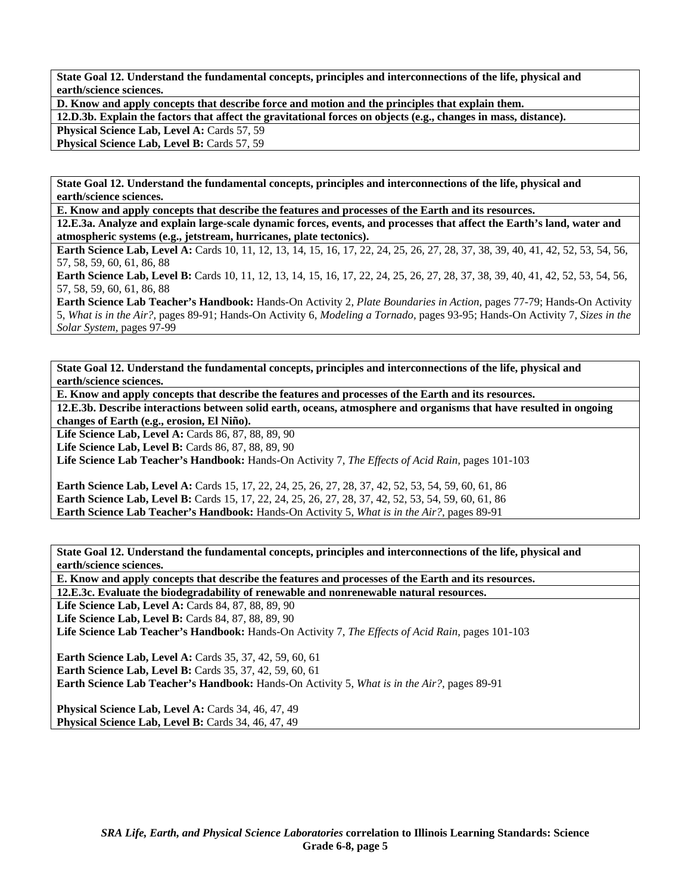**State Goal 12. Understand the fundamental concepts, principles and interconnections of the life, physical and earth/science sciences.** 

**D. Know and apply concepts that describe force and motion and the principles that explain them.** 

**12.D.3b. Explain the factors that affect the gravitational forces on objects (e.g., changes in mass, distance).** 

Physical Science Lab, Level A: Cards 57, 59

Physical Science Lab, Level B: Cards 57, 59

**State Goal 12. Understand the fundamental concepts, principles and interconnections of the life, physical and earth/science sciences.** 

**E. Know and apply concepts that describe the features and processes of the Earth and its resources.** 

**12.E.3a. Analyze and explain large-scale dynamic forces, events, and processes that affect the Earth's land, water and atmospheric systems (e.g., jetstream, hurricanes, plate tectonics).** 

**Earth Science Lab, Level A:** Cards 10, 11, 12, 13, 14, 15, 16, 17, 22, 24, 25, 26, 27, 28, 37, 38, 39, 40, 41, 42, 52, 53, 54, 56, 57, 58, 59, 60, 61, 86, 88

**Earth Science Lab, Level B:** Cards 10, 11, 12, 13, 14, 15, 16, 17, 22, 24, 25, 26, 27, 28, 37, 38, 39, 40, 41, 42, 52, 53, 54, 56, 57, 58, 59, 60, 61, 86, 88

**Earth Science Lab Teacher's Handbook:** Hands-On Activity 2, *Plate Boundaries in Action,* pages 77-79; Hands-On Activity 5, *What is in the Air?,* pages 89-91; Hands-On Activity 6, *Modeling a Tornado,* pages 93-95; Hands-On Activity 7, *Sizes in the Solar System,* pages 97-99

**State Goal 12. Understand the fundamental concepts, principles and interconnections of the life, physical and earth/science sciences.** 

**E. Know and apply concepts that describe the features and processes of the Earth and its resources.** 

**12.E.3b. Describe interactions between solid earth, oceans, atmosphere and organisms that have resulted in ongoing changes of Earth (e.g., erosion, El Niño).** 

Life Science Lab, Level A: Cards 86, 87, 88, 89, 90

**Life Science Lab, Level B: Cards 86, 87, 88, 89, 90** 

**Life Science Lab Teacher's Handbook:** Hands-On Activity 7, *The Effects of Acid Rain,* pages 101-103

**Earth Science Lab, Level A:** Cards 15, 17, 22, 24, 25, 26, 27, 28, 37, 42, 52, 53, 54, 59, 60, 61, 86 **Earth Science Lab, Level B:** Cards 15, 17, 22, 24, 25, 26, 27, 28, 37, 42, 52, 53, 54, 59, 60, 61, 86 **Earth Science Lab Teacher's Handbook:** Hands-On Activity 5, *What is in the Air?,* pages 89-91

**State Goal 12. Understand the fundamental concepts, principles and interconnections of the life, physical and earth/science sciences.** 

**E. Know and apply concepts that describe the features and processes of the Earth and its resources.** 

**12.E.3c. Evaluate the biodegradability of renewable and nonrenewable natural resources.** 

Life Science Lab, Level A: Cards 84, 87, 88, 89, 90

**Life Science Lab, Level B: Cards 84, 87, 88, 89, 90** 

**Life Science Lab Teacher's Handbook:** Hands-On Activity 7, *The Effects of Acid Rain,* pages 101-103

**Earth Science Lab, Level A: Cards 35, 37, 42, 59, 60, 61 Earth Science Lab, Level B:** Cards 35, 37, 42, 59, 60, 61

**Earth Science Lab Teacher's Handbook:** Hands-On Activity 5, *What is in the Air?,* pages 89-91

**Physical Science Lab, Level A: Cards 34, 46, 47, 49 Physical Science Lab, Level B: Cards 34, 46, 47, 49**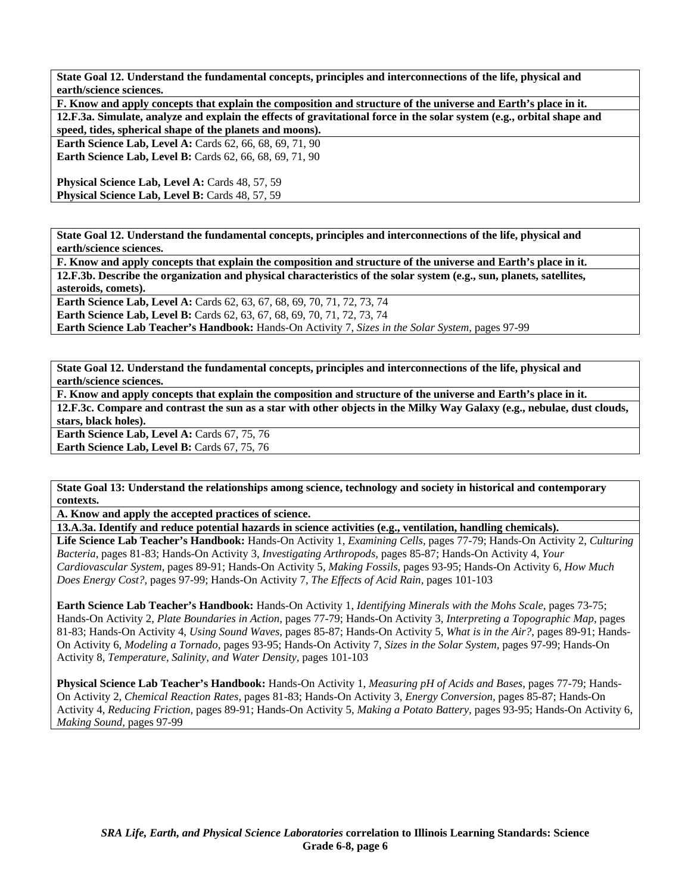**State Goal 12. Understand the fundamental concepts, principles and interconnections of the life, physical and earth/science sciences.** 

| F. Know and apply concepts that explain the composition and structure of the universe and Earth's place in it.         |
|------------------------------------------------------------------------------------------------------------------------|
| 12.F.3a. Simulate, analyze and explain the effects of gravitational force in the solar system (e.g., orbital shape and |
| speed, tides, spherical shape of the planets and moons).                                                               |
| <b>Earth Science Lab, Level A: Cards 62, 66, 68, 69, 71, 90</b>                                                        |
| <b>Earth Science Lab, Level B:</b> Cards 62, 66, 68, 69, 71, 90                                                        |
|                                                                                                                        |
| <b>Physical Science Lab, Level A: Cards 48, 57, 59</b>                                                                 |
| <b>Physical Science Lab. Level B: Cards 48, 57, 59</b>                                                                 |

**State Goal 12. Understand the fundamental concepts, principles and interconnections of the life, physical and earth/science sciences.** 

**F. Know and apply concepts that explain the composition and structure of the universe and Earth's place in it. 12.F.3b. Describe the organization and physical characteristics of the solar system (e.g., sun, planets, satellites, asteroids, comets).** 

**Earth Science Lab, Level A: Cards 62, 63, 67, 68, 69, 70, 71, 72, 73, 74** 

**Earth Science Lab, Level B:** Cards 62, 63, 67, 68, 69, 70, 71, 72, 73, 74

**Earth Science Lab Teacher's Handbook:** Hands-On Activity 7, *Sizes in the Solar System,* pages 97-99

**State Goal 12. Understand the fundamental concepts, principles and interconnections of the life, physical and earth/science sciences.** 

**F. Know and apply concepts that explain the composition and structure of the universe and Earth's place in it. 12.F.3c. Compare and contrast the sun as a star with other objects in the Milky Way Galaxy (e.g., nebulae, dust clouds, stars, black holes).** 

**Earth Science Lab, Level A: Cards 67, 75, 76 Earth Science Lab, Level B: Cards 67, 75, 76** 

**State Goal 13: Understand the relationships among science, technology and society in historical and contemporary contexts.** 

**A. Know and apply the accepted practices of science.** 

**13.A.3a. Identify and reduce potential hazards in science activities (e.g., ventilation, handling chemicals).** 

**Life Science Lab Teacher's Handbook:** Hands-On Activity 1, *Examining Cells,* pages 77-79; Hands-On Activity 2, *Culturing Bacteria,* pages 81-83; Hands-On Activity 3, *Investigating Arthropods,* pages 85-87; Hands-On Activity 4, *Your Cardiovascular System,* pages 89-91; Hands-On Activity 5, *Making Fossils,* pages 93-95; Hands-On Activity 6, *How Much Does Energy Cost?,* pages 97-99; Hands-On Activity 7, *The Effects of Acid Rain,* pages 101-103

**Earth Science Lab Teacher's Handbook:** Hands-On Activity 1, *Identifying Minerals with the Mohs Scale,* pages 73-75; Hands-On Activity 2, *Plate Boundaries in Action,* pages 77-79; Hands-On Activity 3, *Interpreting a Topographic Map,* pages 81-83; Hands-On Activity 4, *Using Sound Waves,* pages 85-87; Hands-On Activity 5, *What is in the Air?,* pages 89-91; Hands-On Activity 6, *Modeling a Tornado,* pages 93-95; Hands-On Activity 7, *Sizes in the Solar System,* pages 97-99; Hands-On Activity 8, *Temperature, Salinity, and Water Density,* pages 101-103

**Physical Science Lab Teacher's Handbook:** Hands-On Activity 1, *Measuring pH of Acids and Bases,* pages 77-79; Hands-On Activity 2, *Chemical Reaction Rates,* pages 81-83; Hands-On Activity 3, *Energy Conversion,* pages 85-87; Hands-On Activity 4, *Reducing Friction,* pages 89-91; Hands-On Activity 5, *Making a Potato Battery,* pages 93-95; Hands-On Activity 6, *Making Sound,* pages 97-99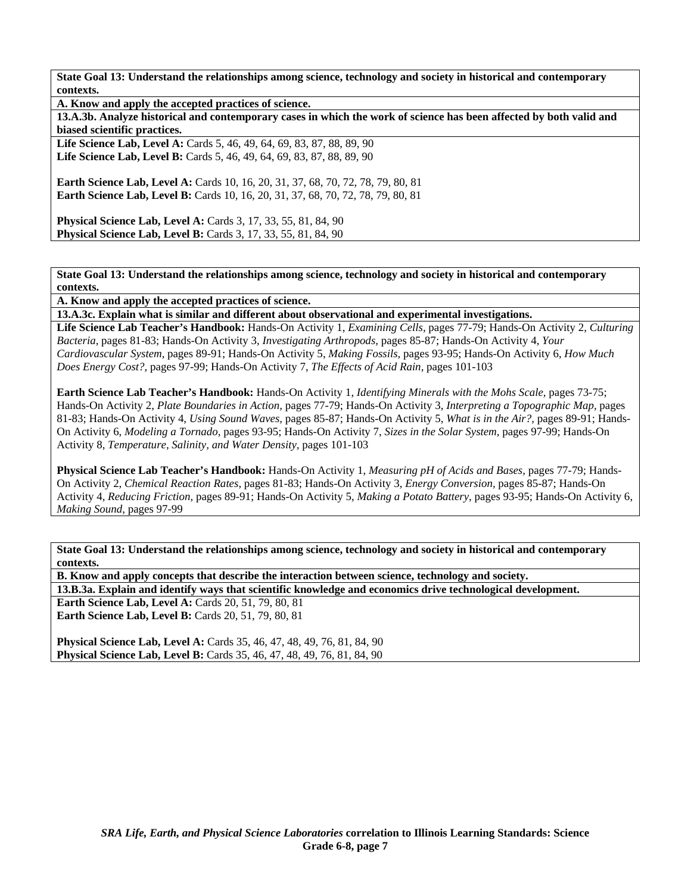**State Goal 13: Understand the relationships among science, technology and society in historical and contemporary contexts.** 

**A. Know and apply the accepted practices of science.** 

**13.A.3b. Analyze historical and contemporary cases in which the work of science has been affected by both valid and biased scientific practices.** 

Life Science Lab, Level A: Cards 5, 46, 49, 64, 69, 83, 87, 88, 89, 90 **Life Science Lab, Level B:** Cards 5, 46, 49, 64, 69, 83, 87, 88, 89, 90

**Earth Science Lab, Level A:** Cards 10, 16, 20, 31, 37, 68, 70, 72, 78, 79, 80, 81 **Earth Science Lab, Level B:** Cards 10, 16, 20, 31, 37, 68, 70, 72, 78, 79, 80, 81

**Physical Science Lab, Level A: Cards 3, 17, 33, 55, 81, 84, 90 Physical Science Lab, Level B:** Cards 3, 17, 33, 55, 81, 84, 90

**State Goal 13: Understand the relationships among science, technology and society in historical and contemporary contexts.** 

**A. Know and apply the accepted practices of science.** 

**13.A.3c. Explain what is similar and different about observational and experimental investigations.** 

**Life Science Lab Teacher's Handbook:** Hands-On Activity 1, *Examining Cells,* pages 77-79; Hands-On Activity 2, *Culturing Bacteria,* pages 81-83; Hands-On Activity 3, *Investigating Arthropods,* pages 85-87; Hands-On Activity 4, *Your Cardiovascular System,* pages 89-91; Hands-On Activity 5, *Making Fossils,* pages 93-95; Hands-On Activity 6, *How Much Does Energy Cost?,* pages 97-99; Hands-On Activity 7, *The Effects of Acid Rain,* pages 101-103

**Earth Science Lab Teacher's Handbook:** Hands-On Activity 1, *Identifying Minerals with the Mohs Scale,* pages 73-75; Hands-On Activity 2, *Plate Boundaries in Action,* pages 77-79; Hands-On Activity 3, *Interpreting a Topographic Map,* pages 81-83; Hands-On Activity 4, *Using Sound Waves,* pages 85-87; Hands-On Activity 5, *What is in the Air?,* pages 89-91; Hands-On Activity 6, *Modeling a Tornado,* pages 93-95; Hands-On Activity 7, *Sizes in the Solar System,* pages 97-99; Hands-On Activity 8, *Temperature, Salinity, and Water Density,* pages 101-103

**Physical Science Lab Teacher's Handbook:** Hands-On Activity 1, *Measuring pH of Acids and Bases,* pages 77-79; Hands-On Activity 2, *Chemical Reaction Rates,* pages 81-83; Hands-On Activity 3, *Energy Conversion,* pages 85-87; Hands-On Activity 4, *Reducing Friction,* pages 89-91; Hands-On Activity 5, *Making a Potato Battery,* pages 93-95; Hands-On Activity 6, *Making Sound,* pages 97-99

**State Goal 13: Understand the relationships among science, technology and society in historical and contemporary contexts.** 

**B. Know and apply concepts that describe the interaction between science, technology and society. 13.B.3a. Explain and identify ways that scientific knowledge and economics drive technological development. Earth Science Lab, Level A: Cards 20, 51, 79, 80, 81** 

**Earth Science Lab, Level B: Cards 20, 51, 79, 80, 81** 

**Physical Science Lab, Level A: Cards 35, 46, 47, 48, 49, 76, 81, 84, 90 Physical Science Lab, Level B:** Cards 35, 46, 47, 48, 49, 76, 81, 84, 90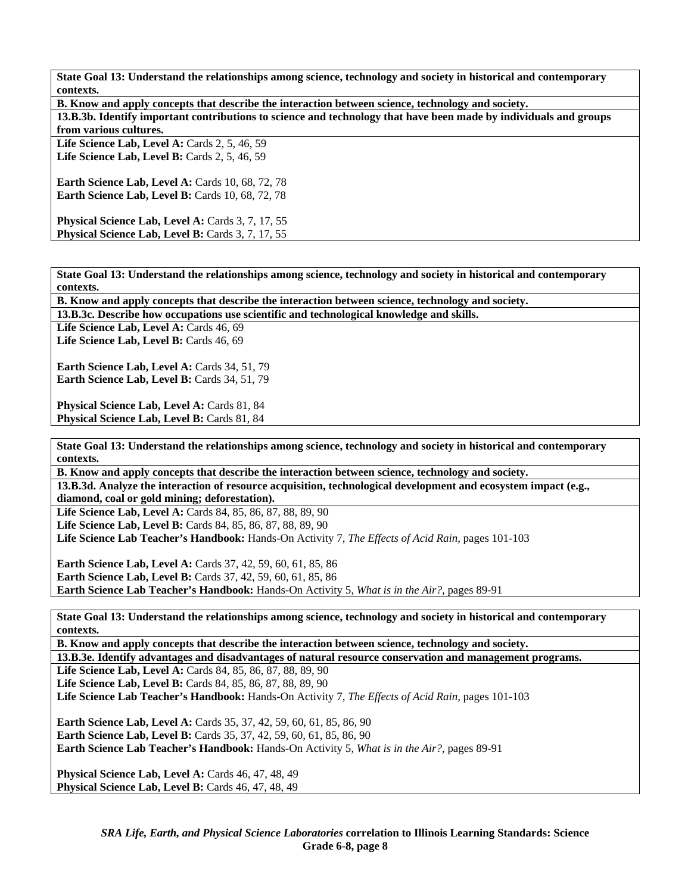**State Goal 13: Understand the relationships among science, technology and society in historical and contemporary contexts.** 

| B. Know and apply concepts that describe the interaction between science, technology and society.                 |
|-------------------------------------------------------------------------------------------------------------------|
| 13.B.3b. Identify important contributions to science and technology that have been made by individuals and groups |
| from various cultures.                                                                                            |
| Life Science Lab, Level A: Cards $2, 5, 46, 59$                                                                   |
| Life Science Lab, Level B: Cards $2, 5, 46, 59$                                                                   |
|                                                                                                                   |
| <b>Earth Science Lab, Level A: Cards 10, 68, 72, 78</b>                                                           |
| <b>Earth Science Lab, Level B:</b> Cards 10, 68, 72, 78                                                           |
|                                                                                                                   |
| Physical Science Lab, Level A: Cards 3, 7, 17, 55                                                                 |
| <b>Physical Science Lab, Level B:</b> Cards 3, 7, 17, 55                                                          |
|                                                                                                                   |
|                                                                                                                   |

**State Goal 13: Understand the relationships among science, technology and society in historical and contemporary contexts.** 

**B. Know and apply concepts that describe the interaction between science, technology and society.** 

**13.B.3c. Describe how occupations use scientific and technological knowledge and skills.** 

Life Science Lab, Level A: Cards 46, 69 Life Science Lab, Level B: Cards 46, 69

**Earth Science Lab, Level A: Cards 34, 51, 79 Earth Science Lab, Level B: Cards 34, 51, 79** 

**Physical Science Lab, Level A: Cards 81, 84 Physical Science Lab, Level B: Cards 81, 84** 

**State Goal 13: Understand the relationships among science, technology and society in historical and contemporary contexts.** 

**B. Know and apply concepts that describe the interaction between science, technology and society. 13.B.3d. Analyze the interaction of resource acquisition, technological development and ecosystem impact (e.g., diamond, coal or gold mining; deforestation).** 

**Life Science Lab, Level A:** Cards 84, 85, 86, 87, 88, 89, 90 **Life Science Lab, Level B:** Cards 84, 85, 86, 87, 88, 89, 90 **Life Science Lab Teacher's Handbook:** Hands-On Activity 7, *The Effects of Acid Rain,* pages 101-103

**Earth Science Lab, Level A:** Cards 37, 42, 59, 60, 61, 85, 86 **Earth Science Lab, Level B:** Cards 37, 42, 59, 60, 61, 85, 86 **Earth Science Lab Teacher's Handbook:** Hands-On Activity 5, *What is in the Air?,* pages 89-91

**State Goal 13: Understand the relationships among science, technology and society in historical and contemporary contexts.** 

**B. Know and apply concepts that describe the interaction between science, technology and society.** 

**13.B.3e. Identify advantages and disadvantages of natural resource conservation and management programs.** 

**Life Science Lab, Level A:** Cards 84, 85, 86, 87, 88, 89, 90 **Life Science Lab, Level B:** Cards 84, 85, 86, 87, 88, 89, 90

**Life Science Lab Teacher's Handbook:** Hands-On Activity 7, *The Effects of Acid Rain,* pages 101-103

**Earth Science Lab, Level A:** Cards 35, 37, 42, 59, 60, 61, 85, 86, 90 **Earth Science Lab, Level B:** Cards 35, 37, 42, 59, 60, 61, 85, 86, 90 **Earth Science Lab Teacher's Handbook:** Hands-On Activity 5, *What is in the Air?,* pages 89-91

**Physical Science Lab, Level A:** Cards 46, 47, 48, 49 Physical Science Lab, Level B: Cards 46, 47, 48, 49